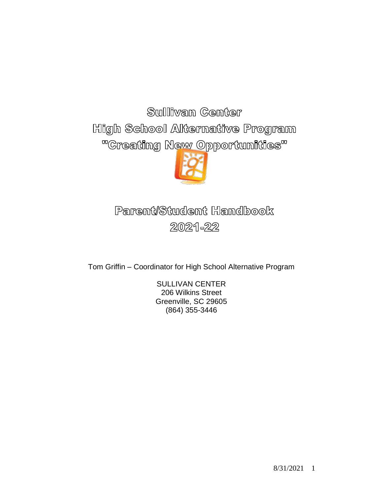Sullivan Center High School Alternative Program "Creating New Opportunities"



# Parent/Student Handbook 2021-22

Tom Griffin – Coordinator for High School Alternative Program

SULLIVAN CENTER 206 Wilkins Street Greenville, SC 29605 (864) 355-3446

8/31/2021 1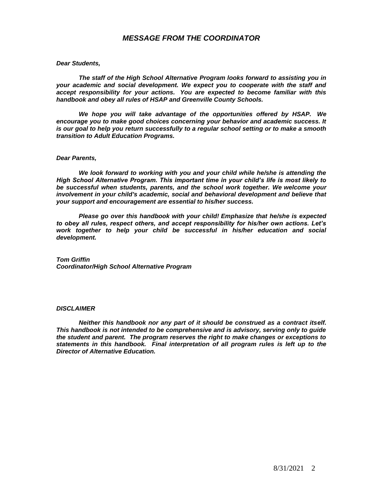#### *MESSAGE FROM THE COORDINATOR*

#### *Dear Students,*

*The staff of the High School Alternative Program looks forward to assisting you in your academic and social development. We expect you to cooperate with the staff and accept responsibility for your actions. You are expected to become familiar with this handbook and obey all rules of HSAP and Greenville County Schools.*

*We hope you will take advantage of the opportunities offered by HSAP. We encourage you to make good choices concerning your behavior and academic success. It is our goal to help you return successfully to a regular school setting or to make a smooth transition to Adult Education Programs.*

#### *Dear Parents,*

*We look forward to working with you and your child while he/she is attending the High School Alternative Program. This important time in your child's life is most likely to be successful when students, parents, and the school work together. We welcome your involvement in your child's academic, social and behavioral development and believe that your support and encouragement are essential to his/her success.*

*Please go over this handbook with your child! Emphasize that he/she is expected to obey all rules, respect others, and accept responsibility for his/her own actions. Let's work together to help your child be successful in his/her education and social development.*

*Tom Griffin Coordinator/High School Alternative Program*

#### *DISCLAIMER*

*Neither this handbook nor any part of it should be construed as a contract itself. This handbook is not intended to be comprehensive and is advisory, serving only to guide the student and parent. The program reserves the right to make changes or exceptions to statements in this handbook. Final interpretation of all program rules is left up to the Director of Alternative Education.*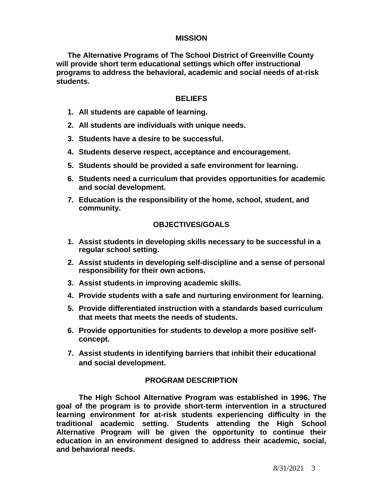#### **MISSION**

**The Alternative Programs of The School District of Greenville County will provide short term educational settings which offer instructional programs to address the behavioral, academic and social needs of at-risk students.**

#### **BELIEFS**

- **1. All students are capable of learning.**
- **2. All students are individuals with unique needs.**
- **3. Students have a desire to be successful.**
- **4. Students deserve respect, acceptance and encouragement.**
- **5. Students should be provided a safe environment for learning.**
- **6. Students need a curriculum that provides opportunities for academic and social development.**
- **7. Education is the responsibility of the home, school, student, and community.**

## **OBJECTIVES/GOALS**

- **1. Assist students in developing skills necessary to be successful in a regular school setting.**
- **2. Assist students in developing self-discipline and a sense of personal responsibility for their own actions.**
- **3. Assist students in improving academic skills.**
- **4. Provide students with a safe and nurturing environment for learning.**
- **5. Provide differentiated instruction with a standards based curriculum that meets that meets the needs of students.**
- **6. Provide opportunities for students to develop a more positive selfconcept.**
- **7. Assist students in identifying barriers that inhibit their educational and social development.**

## **PROGRAM DESCRIPTION**

**The High School Alternative Program was established in 1996. The goal of the program is to provide short-term intervention in a structured learning environment for at-risk students experiencing difficulty in the traditional academic setting. Students attending the High School Alternative Program will be given the opportunity to continue their education in an environment designed to address their academic, social, and behavioral needs.**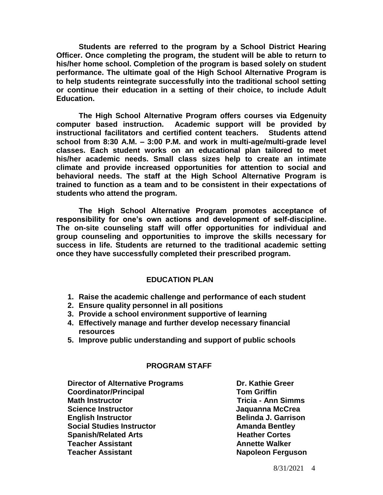**Students are referred to the program by a School District Hearing Officer. Once completing the program, the student will be able to return to his/her home school. Completion of the program is based solely on student performance. The ultimate goal of the High School Alternative Program is to help students reintegrate successfully into the traditional school setting or continue their education in a setting of their choice, to include Adult Education.** 

**The High School Alternative Program offers courses via Edgenuity computer based instruction. Academic support will be provided by instructional facilitators and certified content teachers. Students attend school from 8:30 A.M. – 3:00 P.M. and work in multi-age/multi-grade level classes. Each student works on an educational plan tailored to meet his/her academic needs. Small class sizes help to create an intimate climate and provide increased opportunities for attention to social and behavioral needs. The staff at the High School Alternative Program is trained to function as a team and to be consistent in their expectations of students who attend the program.**

**The High School Alternative Program promotes acceptance of responsibility for one's own actions and development of self-discipline. The on-site counseling staff will offer opportunities for individual and group counseling and opportunities to improve the skills necessary for success in life. Students are returned to the traditional academic setting once they have successfully completed their prescribed program.**

#### **EDUCATION PLAN**

- **1. Raise the academic challenge and performance of each student**
- **2. Ensure quality personnel in all positions**
- **3. Provide a school environment supportive of learning**
- **4. Effectively manage and further develop necessary financial resources**
- **5. Improve public understanding and support of public schools**

#### **PROGRAM STAFF**

**Director of Alternative Programs <b>Dr. Kathie Greer Coordinator/Principal Tom Griffin Math Instructor Tricia - Ann Simms Science Instructor Community Community Science Instructor Community Community Community Community Community Community Community Community Community Community Community Community Community Community Community Community Com English Instructor Belinda J. Garrison Social Studies Instructor Amanda Bentley Spanish/Related Arts Meather Cortes Teacher Assistant Annette Walker Teacher Assistant Napoleon Ferguson**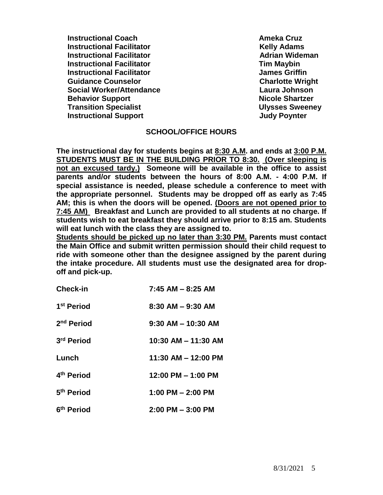**Instructional Coach Ameka Cruz Instructional Facilitator Manufacture Constructional Facilitator Manufacture Relix Adams Instructional Facilitator Advisory Contracts Adrian Wideman Instructional Facilitator Tim Maybin Instructional Facilitator James Griffin Guidance Counselor Charlotte Wright** Charlotte Wright **Social Worker/Attendance Laura Johnson Behavior Support Nicole Shartzer Transition Specialist Ulysses Sweeney Instructional Support Contract Contract Support Contract Contract Contract Contract Contract Contract Contract Contract Contract Contract Contract Contract Contract Contract Contract Contract Contract Contract Contract Co** 

#### **SCHOOL/OFFICE HOURS**

**The instructional day for students begins at 8:30 A.M. and ends at 3:00 P.M. STUDENTS MUST BE IN THE BUILDING PRIOR TO 8:30. (Over sleeping is not an excused tardy.) Someone will be available in the office to assist parents and/or students between the hours of 8:00 A.M. - 4:00 P.M. If special assistance is needed, please schedule a conference to meet with the appropriate personnel. Students may be dropped off as early as 7:45 AM; this is when the doors will be opened. (Doors are not opened prior to 7:45 AM) Breakfast and Lunch are provided to all students at no charge. If students wish to eat breakfast they should arrive prior to 8:15 am. Students will eat lunch with the class they are assigned to.** 

**Students should be picked up no later than 3:30 PM. Parents must contact the Main Office and submit written permission should their child request to ride with someone other than the designee assigned by the parent during the intake procedure. All students must use the designated area for dropoff and pick-up.**

| <b>Check-in</b>        | $7:45$ AM $-$ 8:25 AM  |
|------------------------|------------------------|
| 1 <sup>st</sup> Period | $8:30$ AM $-$ 9:30 AM  |
| 2 <sup>nd</sup> Period | $9:30$ AM $-$ 10:30 AM |
| 3rd Period             | 10:30 AM - 11:30 AM    |
| Lunch                  | 11:30 AM - 12:00 PM    |
| 4 <sup>th</sup> Period | $12:00$ PM $- 1:00$ PM |
| 5 <sup>th</sup> Period | $1:00$ PM $- 2:00$ PM  |
| 6 <sup>th</sup> Period | $2:00$ PM $-3:00$ PM   |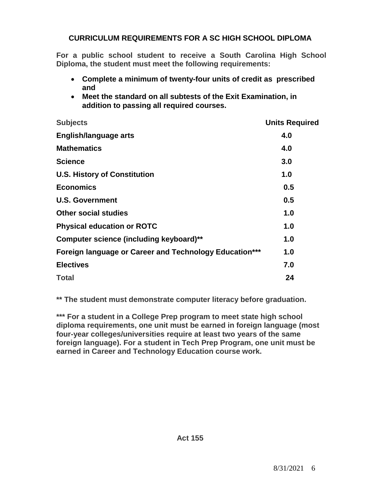## **CURRICULUM REQUIREMENTS FOR A SC HIGH SCHOOL DIPLOMA**

**For a public school student to receive a South Carolina High School Diploma, the student must meet the following requirements:** 

- **Complete a minimum of twenty-four units of credit as prescribed and**
- **Meet the standard on all subtests of the Exit Examination, in addition to passing all required courses.**

| <b>Subjects</b>                                               | <b>Units Required</b> |
|---------------------------------------------------------------|-----------------------|
| English/language arts                                         | 4.0                   |
| <b>Mathematics</b>                                            | 4.0                   |
| <b>Science</b>                                                | 3.0                   |
| <b>U.S. History of Constitution</b>                           | 1.0                   |
| <b>Economics</b>                                              | 0.5                   |
| <b>U.S. Government</b>                                        | 0.5                   |
| <b>Other social studies</b>                                   | 1.0                   |
| <b>Physical education or ROTC</b>                             | 1.0                   |
| Computer science (including keyboard)**                       | 1.0                   |
| <b>Foreign language or Career and Technology Education***</b> | 1.0                   |
| <b>Electives</b>                                              | 7.0                   |
| <b>Total</b>                                                  | 24                    |

**\*\* The student must demonstrate computer literacy before graduation.**

**\*\*\* For a student in a College Prep program to meet state high school diploma requirements, one unit must be earned in foreign language (most four-year colleges/universities require at least two years of the same foreign language). For a student in Tech Prep Program, one unit must be earned in Career and Technology Education course work.**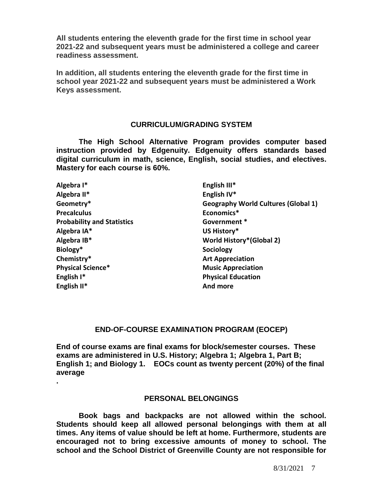**All students entering the eleventh grade for the first time in school year 2021-22 and subsequent years must be administered a college and career readiness assessment.**

**In addition, all students entering the eleventh grade for the first time in school year 2021-22 and subsequent years must be administered a Work Keys assessment.**

#### **CURRICULUM/GRADING SYSTEM**

**The High School Alternative Program provides computer based instruction provided by Edgenuity. Edgenuity offers standards based digital curriculum in math, science, English, social studies, and electives. Mastery for each course is 60%.**

| Algebra I*                        | English III*                               |
|-----------------------------------|--------------------------------------------|
| Algebra II*                       | English IV*                                |
| Geometry*                         | <b>Geography World Cultures (Global 1)</b> |
| <b>Precalculus</b>                | Economics*                                 |
| <b>Probability and Statistics</b> | Government *                               |
| Algebra IA*                       | US History*                                |
| Algebra IB*                       | <b>World History*(Global 2)</b>            |
| Biology*                          | Sociology                                  |
| Chemistry*                        | <b>Art Appreciation</b>                    |
| Physical Science*                 | <b>Music Appreciation</b>                  |
| English I*                        | <b>Physical Education</b>                  |
| English II*                       | And more                                   |
|                                   |                                            |

#### **END-OF-COURSE EXAMINATION PROGRAM (EOCEP)**

**End of course exams are final exams for block/semester courses. These exams are administered in U.S. History; Algebra 1; Algebra 1, Part B; English 1; and Biology 1. EOCs count as twenty percent (20%) of the final average**

#### **PERSONAL BELONGINGS**

**.** 

**Book bags and backpacks are not allowed within the school. Students should keep all allowed personal belongings with them at all times. Any items of value should be left at home. Furthermore, students are encouraged not to bring excessive amounts of money to school. The school and the School District of Greenville County are not responsible for**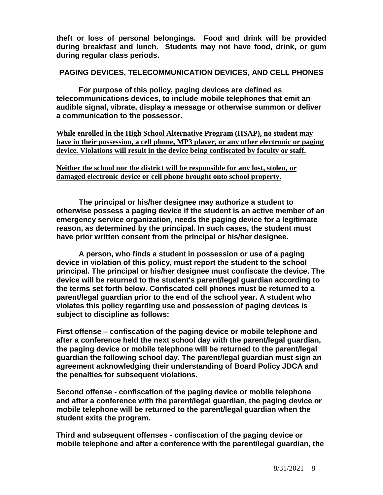**theft or loss of personal belongings. Food and drink will be provided during breakfast and lunch. Students may not have food, drink, or gum during regular class periods.** 

#### **PAGING DEVICES, TELECOMMUNICATION DEVICES, AND CELL PHONES**

**For purpose of this policy, paging devices are defined as telecommunications devices, to include mobile telephones that emit an audible signal, vibrate, display a message or otherwise summon or deliver a communication to the possessor.**

**While enrolled in the High School Alternative Program (HSAP), no student may have in their possession, a cell phone, MP3 player, or any other electronic or paging device. Violations will result in the device being confiscated by faculty or staff.** 

**Neither the school nor the district will be responsible for any lost, stolen, or damaged electronic device or cell phone brought onto school property.**

**The principal or his/her designee may authorize a student to otherwise possess a paging device if the student is an active member of an emergency service organization, needs the paging device for a legitimate reason, as determined by the principal. In such cases, the student must have prior written consent from the principal or his/her designee.**

**A person, who finds a student in possession or use of a paging device in violation of this policy, must report the student to the school principal. The principal or his/her designee must confiscate the device. The device will be returned to the student's parent/legal guardian according to the terms set forth below. Confiscated cell phones must be returned to a parent/legal guardian prior to the end of the school year. A student who violates this policy regarding use and possession of paging devices is subject to discipline as follows:**

**First offense – confiscation of the paging device or mobile telephone and after a conference held the next school day with the parent/legal guardian, the paging device or mobile telephone will be returned to the parent/legal guardian the following school day. The parent/legal guardian must sign an agreement acknowledging their understanding of Board Policy JDCA and the penalties for subsequent violations.**

**Second offense - confiscation of the paging device or mobile telephone and after a conference with the parent/legal guardian, the paging device or mobile telephone will be returned to the parent/legal guardian when the student exits the program.**

**Third and subsequent offenses - confiscation of the paging device or mobile telephone and after a conference with the parent/legal guardian, the**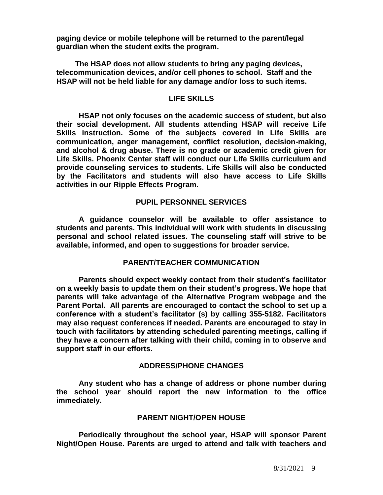**paging device or mobile telephone will be returned to the parent/legal guardian when the student exits the program.**

 **The HSAP does not allow students to bring any paging devices, telecommunication devices, and/or cell phones to school. Staff and the HSAP will not be held liable for any damage and/or loss to such items.**

#### **LIFE SKILLS**

**HSAP not only focuses on the academic success of student, but also their social development. All students attending HSAP will receive Life Skills instruction. Some of the subjects covered in Life Skills are communication, anger management, conflict resolution, decision-making, and alcohol & drug abuse. There is no grade or academic credit given for Life Skills. Phoenix Center staff will conduct our Life Skills curriculum and provide counseling services to students. Life Skills will also be conducted by the Facilitators and students will also have access to Life Skills activities in our Ripple Effects Program.**

## **PUPIL PERSONNEL SERVICES**

**A guidance counselor will be available to offer assistance to students and parents. This individual will work with students in discussing personal and school related issues. The counseling staff will strive to be available, informed, and open to suggestions for broader service.**

#### **PARENT/TEACHER COMMUNICATION**

**Parents should expect weekly contact from their student's facilitator on a weekly basis to update them on their student's progress. We hope that parents will take advantage of the Alternative Program webpage and the Parent Portal. All parents are encouraged to contact the school to set up a conference with a student's facilitator (s) by calling 355-5182. Facilitators may also request conferences if needed. Parents are encouraged to stay in touch with facilitators by attending scheduled parenting meetings, calling if they have a concern after talking with their child, coming in to observe and support staff in our efforts.**

#### **ADDRESS/PHONE CHANGES**

**Any student who has a change of address or phone number during the school year should report the new information to the office immediately.**

#### **PARENT NIGHT/OPEN HOUSE**

**Periodically throughout the school year, HSAP will sponsor Parent Night/Open House. Parents are urged to attend and talk with teachers and**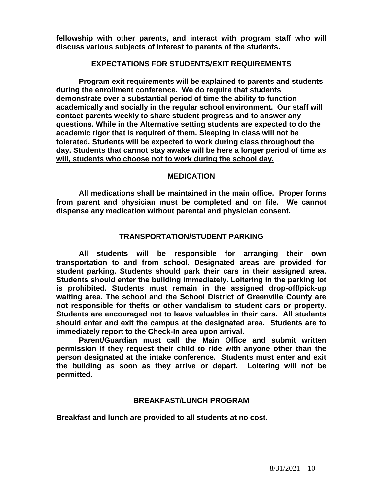**fellowship with other parents, and interact with program staff who will discuss various subjects of interest to parents of the students.** 

#### **EXPECTATIONS FOR STUDENTS/EXIT REQUIREMENTS**

**Program exit requirements will be explained to parents and students during the enrollment conference. We do require that students demonstrate over a substantial period of time the ability to function academically and socially in the regular school environment. Our staff will contact parents weekly to share student progress and to answer any questions. While in the Alternative setting students are expected to do the academic rigor that is required of them. Sleeping in class will not be tolerated. Students will be expected to work during class throughout the day. Students that cannot stay awake will be here a longer period of time as will, students who choose not to work during the school day.**

#### **MEDICATION**

**All medications shall be maintained in the main office. Proper forms from parent and physician must be completed and on file. We cannot dispense any medication without parental and physician consent.**

#### **TRANSPORTATION/STUDENT PARKING**

**All students will be responsible for arranging their own transportation to and from school. Designated areas are provided for student parking. Students should park their cars in their assigned area. Students should enter the building immediately. Loitering in the parking lot is prohibited. Students must remain in the assigned drop-off/pick-up waiting area. The school and the School District of Greenville County are not responsible for thefts or other vandalism to student cars or property. Students are encouraged not to leave valuables in their cars. All students should enter and exit the campus at the designated area. Students are to immediately report to the Check-In area upon arrival.**

**Parent/Guardian must call the Main Office and submit written permission if they request their child to ride with anyone other than the person designated at the intake conference. Students must enter and exit the building as soon as they arrive or depart. Loitering will not be permitted.**

#### **BREAKFAST/LUNCH PROGRAM**

**Breakfast and lunch are provided to all students at no cost.**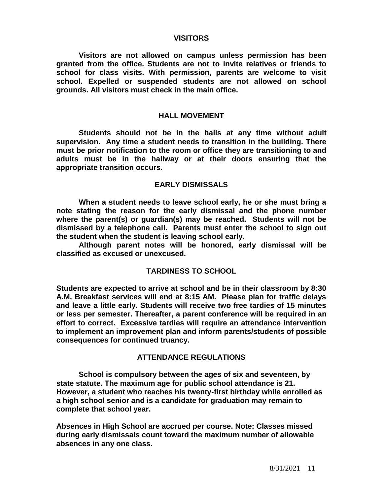#### **VISITORS**

**Visitors are not allowed on campus unless permission has been granted from the office. Students are not to invite relatives or friends to school for class visits. With permission, parents are welcome to visit school. Expelled or suspended students are not allowed on school grounds. All visitors must check in the main office.**

#### **HALL MOVEMENT**

**Students should not be in the halls at any time without adult supervision. Any time a student needs to transition in the building. There must be prior notification to the room or office they are transitioning to and adults must be in the hallway or at their doors ensuring that the appropriate transition occurs.**

#### **EARLY DISMISSALS**

**When a student needs to leave school early, he or she must bring a note stating the reason for the early dismissal and the phone number where the parent(s) or guardian(s) may be reached. Students will not be dismissed by a telephone call. Parents must enter the school to sign out the student when the student is leaving school early.**

**Although parent notes will be honored, early dismissal will be classified as excused or unexcused.**

#### **TARDINESS TO SCHOOL**

**Students are expected to arrive at school and be in their classroom by 8:30 A.M. Breakfast services will end at 8:15 AM. Please plan for traffic delays and leave a little early. Students will receive two free tardies of 15 minutes or less per semester. Thereafter, a parent conference will be required in an effort to correct. Excessive tardies will require an attendance intervention to implement an improvement plan and inform parents/students of possible consequences for continued truancy.**

#### **ATTENDANCE REGULATIONS**

**School is compulsory between the ages of six and seventeen, by state statute. The maximum age for public school attendance is 21. However, a student who reaches his twenty-first birthday while enrolled as a high school senior and is a candidate for graduation may remain to complete that school year.**

**Absences in High School are accrued per course. Note: Classes missed during early dismissals count toward the maximum number of allowable absences in any one class.**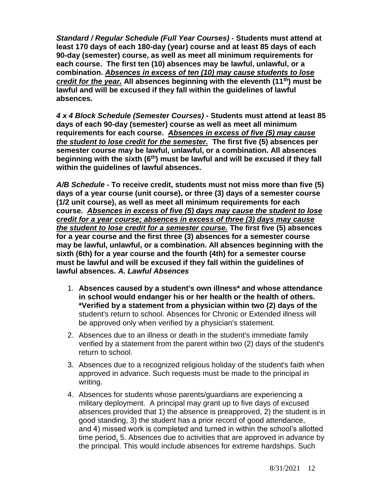*Standard / Regular Schedule (Full Year Courses)* **- Students must attend at least 170 days of each 180-day (year) course and at least 85 days of each 90-day (semester) course, as well as meet all minimum requirements for each course. The first ten (10) absences may be lawful, unlawful, or a combination.** *Absences in excess of ten (10) may cause students to lose credit for the year.* **All absences beginning with the eleventh (11th) must be lawful and will be excused if they fall within the guidelines of lawful absences.**

*4 x 4 Block Schedule (Semester Courses) -* **Students must attend at least 85 days of each 90-day (semester) course as well as meet all minimum requirements for each course.** *Absences in excess of five (5) may cause the student to lose credit for the semester.* **The first five (5) absences per semester course may be lawful, unlawful, or a combination. All absences beginning with the sixth (6th) must be lawful and will be excused if they fall within the guidelines of lawful absences.**

*A/B Schedule* **- To receive credit, students must not miss more than five (5) days of a year course (unit course), or three (3) days of a semester course (1/2 unit course), as well as meet all minimum requirements for each course.** *Absences in excess of five (5) days may cause the student to lose credit for a year course; absences in excess of three (3) days may cause the student to lose credit for a semester course.* **The first five (5) absences for a year course and the first three (3) absences for a semester course may be lawful, unlawful, or a combination. All absences beginning with the sixth (6th) for a year course and the fourth (4th) for a semester course must be lawful and will be excused if they fall within the guidelines of lawful absences.** *A. Lawful Absences*

- 1. **Absences caused by a student's own illness\* and whose attendance in school would endanger his or her health or the health of others. \*Verified by a statement from a physician within two (2) days of the** student's return to school. Absences for Chronic or Extended illness will be approved only when verified by a physician's statement.
- 2. Absences due to an illness or death in the student's immediate family verified by a statement from the parent within two (2) days of the student's return to school.
- 3. Absences due to a recognized religious holiday of the student's faith when approved in advance. Such requests must be made to the principal in writing.
- 4. Absences for students whose parents/guardians are experiencing a military deployment. A principal may grant up to five days of excused absences provided that 1) the absence is preapproved, 2) the student is in good standing, 3) the student has a prior record of good attendance, and 4) missed work is completed and turned in within the school's allotted time period. 5. Absences due to activities that are approved in advance by the principal. This would include absences for extreme hardships. Such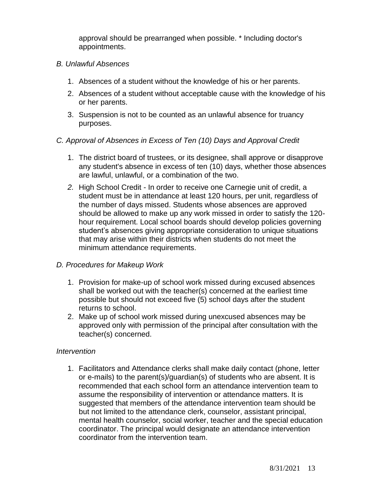approval should be prearranged when possible. \* Including doctor's appointments.

## *B. Unlawful Absences*

- 1. Absences of a student without the knowledge of his or her parents.
- 2. Absences of a student without acceptable cause with the knowledge of his or her parents.
- 3. Suspension is not to be counted as an unlawful absence for truancy purposes.

## *C. Approval of Absences in Excess of Ten (10) Days and Approval Credit*

- 1. The district board of trustees, or its designee, shall approve or disapprove any student's absence in excess of ten (10) days, whether those absences are lawful, unlawful, or a combination of the two.
- *2.* High School Credit In order to receive one Carnegie unit of credit, a student must be in attendance at least 120 hours, per unit, regardless of the number of days missed. Students whose absences are approved should be allowed to make up any work missed in order to satisfy the 120 hour requirement. Local school boards should develop policies governing student's absences giving appropriate consideration to unique situations that may arise within their districts when students do not meet the minimum attendance requirements.

## *D. Procedures for Makeup Work*

- 1. Provision for make-up of school work missed during excused absences shall be worked out with the teacher(s) concerned at the earliest time possible but should not exceed five (5) school days after the student returns to school.
- 2. Make up of school work missed during unexcused absences may be approved only with permission of the principal after consultation with the teacher(s) concerned.

## *Intervention*

1. Facilitators and Attendance clerks shall make daily contact (phone, letter or e-mails) to the parent(s)/guardian(s) of students who are absent. It is recommended that each school form an attendance intervention team to assume the responsibility of intervention or attendance matters. It is suggested that members of the attendance intervention team should be but not limited to the attendance clerk, counselor, assistant principal, mental health counselor, social worker, teacher and the special education coordinator. The principal would designate an attendance intervention coordinator from the intervention team.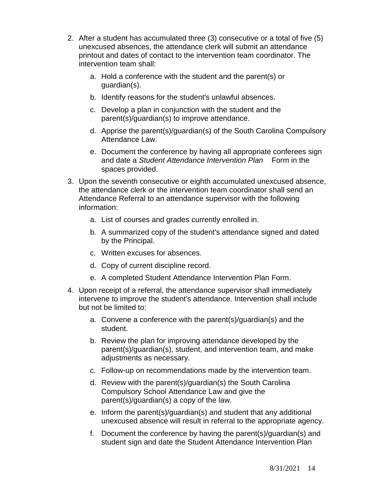- 2. After a student has accumulated three (3) consecutive or a total of five (5) unexcused absences, the attendance clerk will submit an attendance printout and dates of contact to the intervention team coordinator. The intervention team shall:
	- a. Hold a conference with the student and the parent(s) or guardian(s).
	- b. Identify reasons for the student's unlawful absences.
	- c. Develop a plan in conjunction with the student and the parent(s)/guardian(s) to improve attendance.
	- d. Apprise the parent(s)/guardian(s) of the South Carolina Compulsory Attendance Law.
	- e. Document the conference by having all appropriate conferees sign and date a *Student Attendance Intervention Plan* Form in the spaces provided.
- 3. Upon the seventh consecutive or eighth accumulated unexcused absence, the attendance clerk or the intervention team coordinator shall send an Attendance Referral to an attendance supervisor with the following information:
	- a. List of courses and grades currently enrolled in.
	- b. A summarized copy of the student's attendance signed and dated by the Principal.
	- c. Written excuses for absences.
	- d. Copy of current discipline record.
	- e. A completed Student Attendance Intervention Plan Form.
- 4. Upon receipt of a referral, the attendance supervisor shall immediately intervene to improve the student's attendance. Intervention shall include but not be limited to:
	- a. Convene a conference with the parent(s)/guardian(s) and the student.
	- b. Review the plan for improving attendance developed by the parent(s)/guardian(s), student, and intervention team, and make adjustments as necessary.
	- c. Follow-up on recommendations made by the intervention team.
	- d. Review with the parent(s)/guardian(s) the South Carolina Compulsory School Attendance Law and give the parent(s)/guardian(s) a copy of the law.
	- e. Inform the parent(s)/guardian(s) and student that any additional unexcused absence will result in referral to the appropriate agency.
	- f. Document the conference by having the parent(s)/guardian(s) and student sign and date the Student Attendance Intervention Plan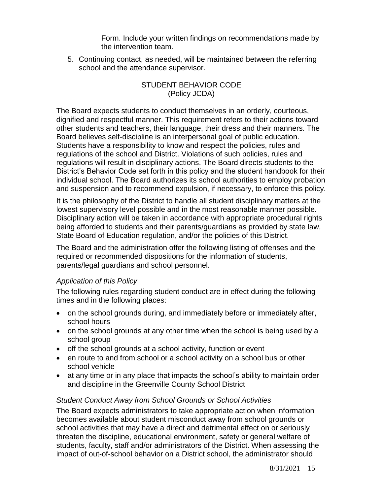Form. Include your written findings on recommendations made by the intervention team.

5. Continuing contact, as needed, will be maintained between the referring school and the attendance supervisor.

## STUDENT BEHAVIOR CODE (Policy JCDA)

The Board expects students to conduct themselves in an orderly, courteous, dignified and respectful manner. This requirement refers to their actions toward other students and teachers, their language, their dress and their manners. The Board believes self-discipline is an interpersonal goal of public education. Students have a responsibility to know and respect the policies, rules and regulations of the school and District. Violations of such policies, rules and regulations will result in disciplinary actions. The Board directs students to the District's Behavior Code set forth in this policy and the student handbook for their individual school. The Board authorizes its school authorities to employ probation and suspension and to recommend expulsion, if necessary, to enforce this policy.

It is the philosophy of the District to handle all student disciplinary matters at the lowest supervisory level possible and in the most reasonable manner possible. Disciplinary action will be taken in accordance with appropriate procedural rights being afforded to students and their parents/guardians as provided by state law, State Board of Education regulation, and/or the policies of this District.

The Board and the administration offer the following listing of offenses and the required or recommended dispositions for the information of students, parents/legal guardians and school personnel.

## *Application of this Policy*

The following rules regarding student conduct are in effect during the following times and in the following places:

- on the school grounds during, and immediately before or immediately after, school hours
- on the school grounds at any other time when the school is being used by a school group
- off the school grounds at a school activity, function or event
- en route to and from school or a school activity on a school bus or other school vehicle
- at any time or in any place that impacts the school's ability to maintain order and discipline in the Greenville County School District

## *Student Conduct Away from School Grounds or School Activities*

The Board expects administrators to take appropriate action when information becomes available about student misconduct away from school grounds or school activities that may have a direct and detrimental effect on or seriously threaten the discipline, educational environment, safety or general welfare of students, faculty, staff and/or administrators of the District. When assessing the impact of out-of-school behavior on a District school, the administrator should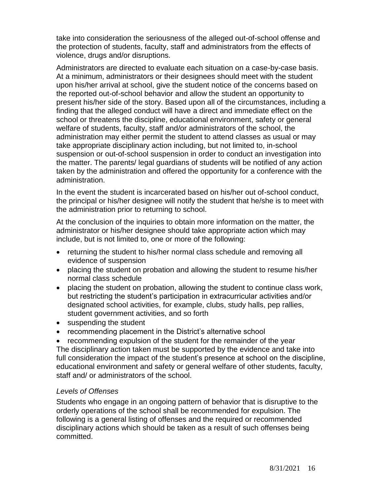take into consideration the seriousness of the alleged out-of-school offense and the protection of students, faculty, staff and administrators from the effects of violence, drugs and/or disruptions.

Administrators are directed to evaluate each situation on a case-by-case basis. At a minimum, administrators or their designees should meet with the student upon his/her arrival at school, give the student notice of the concerns based on the reported out-of-school behavior and allow the student an opportunity to present his/her side of the story. Based upon all of the circumstances, including a finding that the alleged conduct will have a direct and immediate effect on the school or threatens the discipline, educational environment, safety or general welfare of students, faculty, staff and/or administrators of the school, the administration may either permit the student to attend classes as usual or may take appropriate disciplinary action including, but not limited to, in-school suspension or out-of-school suspension in order to conduct an investigation into the matter. The parents/ legal guardians of students will be notified of any action taken by the administration and offered the opportunity for a conference with the administration.

In the event the student is incarcerated based on his/her out of-school conduct, the principal or his/her designee will notify the student that he/she is to meet with the administration prior to returning to school.

At the conclusion of the inquiries to obtain more information on the matter, the administrator or his/her designee should take appropriate action which may include, but is not limited to, one or more of the following:

- returning the student to his/her normal class schedule and removing all evidence of suspension
- placing the student on probation and allowing the student to resume his/her normal class schedule
- placing the student on probation, allowing the student to continue class work, but restricting the student's participation in extracurricular activities and/or designated school activities, for example, clubs, study halls, pep rallies, student government activities, and so forth
- suspending the student
- recommending placement in the District's alternative school

• recommending expulsion of the student for the remainder of the year The disciplinary action taken must be supported by the evidence and take into full consideration the impact of the student's presence at school on the discipline, educational environment and safety or general welfare of other students, faculty, staff and/ or administrators of the school.

## *Levels of Offenses*

Students who engage in an ongoing pattern of behavior that is disruptive to the orderly operations of the school shall be recommended for expulsion. The following is a general listing of offenses and the required or recommended disciplinary actions which should be taken as a result of such offenses being committed.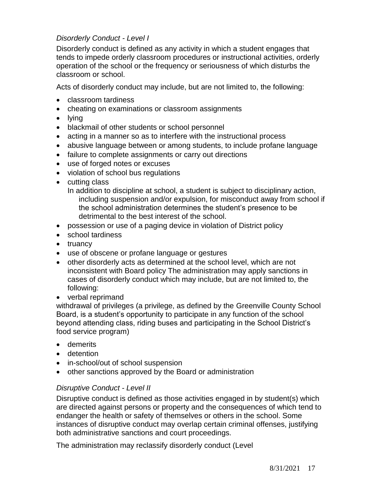# *Disorderly Conduct - Level I*

Disorderly conduct is defined as any activity in which a student engages that tends to impede orderly classroom procedures or instructional activities, orderly operation of the school or the frequency or seriousness of which disturbs the classroom or school.

Acts of disorderly conduct may include, but are not limited to, the following:

- classroom tardiness
- cheating on examinations or classroom assignments
- lying
- blackmail of other students or school personnel
- acting in a manner so as to interfere with the instructional process
- abusive language between or among students, to include profane language
- failure to complete assignments or carry out directions
- use of forged notes or excuses
- violation of school bus regulations
- cutting class

In addition to discipline at school, a student is subject to disciplinary action, including suspension and/or expulsion, for misconduct away from school if the school administration determines the student's presence to be detrimental to the best interest of the school.

- possession or use of a paging device in violation of District policy
- school tardiness
- truancy
- use of obscene or profane language or gestures
- other disorderly acts as determined at the school level, which are not inconsistent with Board policy The administration may apply sanctions in cases of disorderly conduct which may include, but are not limited to, the following:
- verbal reprimand

withdrawal of privileges (a privilege, as defined by the Greenville County School Board, is a student's opportunity to participate in any function of the school beyond attending class, riding buses and participating in the School District's food service program)

- demerits
- detention
- in-school/out of school suspension
- other sanctions approved by the Board or administration

## *Disruptive Conduct - Level II*

Disruptive conduct is defined as those activities engaged in by student(s) which are directed against persons or property and the consequences of which tend to endanger the health or safety of themselves or others in the school. Some instances of disruptive conduct may overlap certain criminal offenses, justifying both administrative sanctions and court proceedings.

The administration may reclassify disorderly conduct (Level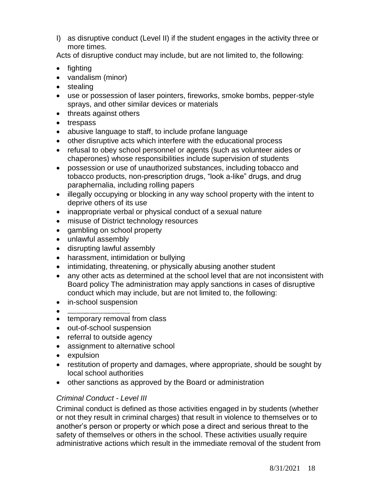I) as disruptive conduct (Level II) if the student engages in the activity three or more times.

Acts of disruptive conduct may include, but are not limited to, the following:

- fighting
- vandalism (minor)
- stealing
- use or possession of laser pointers, fireworks, smoke bombs, pepper-style sprays, and other similar devices or materials
- threats against others
- trespass
- abusive language to staff, to include profane language
- other disruptive acts which interfere with the educational process
- refusal to obey school personnel or agents (such as volunteer aides or chaperones) whose responsibilities include supervision of students
- possession or use of unauthorized substances, including tobacco and tobacco products, non-prescription drugs, "look a-like" drugs, and drug paraphernalia, including rolling papers
- illegally occupying or blocking in any way school property with the intent to deprive others of its use
- inappropriate verbal or physical conduct of a sexual nature
- misuse of District technology resources
- gambling on school property
- unlawful assembly
- disrupting lawful assembly
- harassment, intimidation or bullying
- intimidating, threatening, or physically abusing another student
- any other acts as determined at the school level that are not inconsistent with Board policy The administration may apply sanctions in cases of disruptive conduct which may include, but are not limited to, the following:
- in-school suspension
- **withdrawal of privileges (a privilege, as defined by theGreenville County School Board, is a student's opportunity to participate in any function of the school beyond attending class, riding buses and participating in the School District's food serviceprogram)**
- temporary removal from class
- out-of-school suspension
- referral to outside agency
- assignment to alternative school
- expulsion
- restitution of property and damages, where appropriate, should be sought by local school authorities
- other sanctions as approved by the Board or administration

# *Criminal Conduct - Level III*

Criminal conduct is defined as those activities engaged in by students (whether or not they result in criminal charges) that result in violence to themselves or to another's person or property or which pose a direct and serious threat to the safety of themselves or others in the school. These activities usually require administrative actions which result in the immediate removal of the student from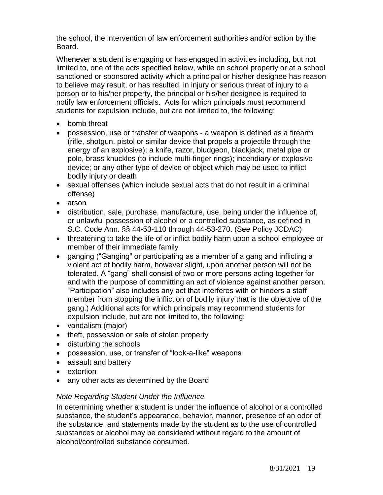the school, the intervention of law enforcement authorities and/or action by the Board.

Whenever a student is engaging or has engaged in activities including, but not limited to, one of the acts specified below, while on school property or at a school sanctioned or sponsored activity which a principal or his/her designee has reason to believe may result, or has resulted, in injury or serious threat of injury to a person or to his/her property, the principal or his/her designee is required to notify law enforcement officials. Acts for which principals must recommend students for expulsion include, but are not limited to, the following:

- bomb threat
- possession, use or transfer of weapons a weapon is defined as a firearm (rifle, shotgun, pistol or similar device that propels a projectile through the energy of an explosive); a knife, razor, bludgeon, blackjack, metal pipe or pole, brass knuckles (to include multi-finger rings); incendiary or explosive device; or any other type of device or object which may be used to inflict bodily injury or death
- sexual offenses (which include sexual acts that do not result in a criminal offense)
- arson
- distribution, sale, purchase, manufacture, use, being under the influence of, or unlawful possession of alcohol or a controlled substance, as defined in S.C. Code Ann. §§ 44-53-110 through 44-53-270. (See Policy JCDAC)
- threatening to take the life of or inflict bodily harm upon a school employee or member of their immediate family
- ganging ("Ganging" or participating as a member of a gang and inflicting a violent act of bodily harm, however slight, upon another person will not be tolerated. A "gang" shall consist of two or more persons acting together for and with the purpose of committing an act of violence against another person. "Participation" also includes any act that interferes with or hinders a staff member from stopping the infliction of bodily injury that is the objective of the gang.) Additional acts for which principals may recommend students for expulsion include, but are not limited to, the following:
- vandalism (major)
- theft, possession or sale of stolen property
- disturbing the schools
- possession, use, or transfer of "look-a-like" weapons
- assault and battery
- extortion
- any other acts as determined by the Board

## *Note Regarding Student Under the Influence*

In determining whether a student is under the influence of alcohol or a controlled substance, the student's appearance, behavior, manner, presence of an odor of the substance, and statements made by the student as to the use of controlled substances or alcohol may be considered without regard to the amount of alcohol/controlled substance consumed.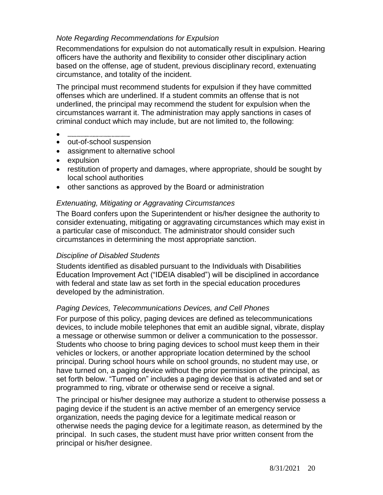# *Note Regarding Recommendations for Expulsion*

Recommendations for expulsion do not automatically result in expulsion. Hearing officers have the authority and flexibility to consider other disciplinary action based on the offense, age of student, previous disciplinary record, extenuating circumstance, and totality of the incident.

The principal must recommend students for expulsion if they have committed offenses which are underlined. If a student commits an offense that is not underlined, the principal may recommend the student for expulsion when the circumstances warrant it. The administration may apply sanctions in cases of criminal conduct which may include, but are not limited to, the following:

- **withdrawal of privileges (a privilege, as defined by theGreenville County School Board, is a student's opportunity to participate in any function of the school beyond attending class, riding buses and participating in the school District's food serviceprogram)**
- out-of-school suspension
- assignment to alternative school
- expulsion
- restitution of property and damages, where appropriate, should be sought by local school authorities
- other sanctions as approved by the Board or administration

## *Extenuating, Mitigating or Aggravating Circumstances*

The Board confers upon the Superintendent or his/her designee the authority to consider extenuating, mitigating or aggravating circumstances which may exist in a particular case of misconduct. The administrator should consider such circumstances in determining the most appropriate sanction.

## *Discipline of Disabled Students*

Students identified as disabled pursuant to the Individuals with Disabilities Education Improvement Act ("IDEIA disabled") will be disciplined in accordance with federal and state law as set forth in the special education procedures developed by the administration.

## *Paging Devices, Telecommunications Devices, and Cell Phones*

For purpose of this policy, paging devices are defined as telecommunications devices, to include mobile telephones that emit an audible signal, vibrate, display a message or otherwise summon or deliver a communication to the possessor. Students who choose to bring paging devices to school must keep them in their vehicles or lockers, or another appropriate location determined by the school principal. During school hours while on school grounds, no student may use, or have turned on, a paging device without the prior permission of the principal, as set forth below. "Turned on" includes a paging device that is activated and set or programmed to ring, vibrate or otherwise send or receive a signal.

The principal or his/her designee may authorize a student to otherwise possess a paging device if the student is an active member of an emergency service organization, needs the paging device for a legitimate medical reason or otherwise needs the paging device for a legitimate reason, as determined by the principal. In such cases, the student must have prior written consent from the principal or his/her designee.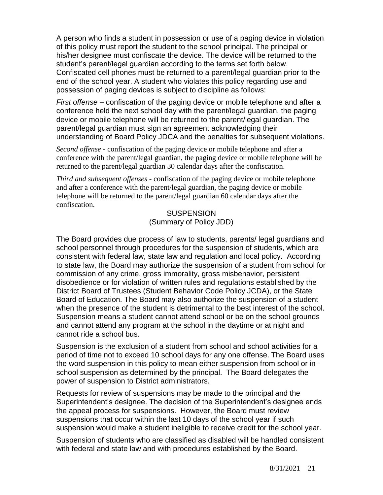A person who finds a student in possession or use of a paging device in violation of this policy must report the student to the school principal. The principal or his/her designee must confiscate the device. The device will be returned to the student's parent/legal guardian according to the terms set forth below. Confiscated cell phones must be returned to a parent/legal guardian prior to the end of the school year. A student who violates this policy regarding use and possession of paging devices is subject to discipline as follows:

*First offense* – confiscation of the paging device or mobile telephone and after a conference held the next school day with the parent/legal guardian, the paging device or mobile telephone will be returned to the parent/legal guardian. The parent/legal guardian must sign an agreement acknowledging their understanding of Board Policy JDCA and the penalties for subsequent violations.

*Second offense* **-** confiscation of the paging device or mobile telephone and after a conference with the parent/legal guardian, the paging device or mobile telephone will be returned to the parent/legal guardian 30 calendar days after the confiscation.

*Third and subsequent offenses* - confiscation of the paging device or mobile telephone and after a conference with the parent/legal guardian, the paging device or mobile telephone will be returned to the parent/legal guardian 60 calendar days after the confiscation.

> **SUSPENSION** (Summary of Policy JDD)

The Board provides due process of law to students, parents/ legal guardians and school personnel through procedures for the suspension of students, which are consistent with federal law, state law and regulation and local policy. According to state law, the Board may authorize the suspension of a student from school for commission of any crime, gross immorality, gross misbehavior, persistent disobedience or for violation of written rules and regulations established by the District Board of Trustees (Student Behavior Code Policy JCDA), or the State Board of Education. The Board may also authorize the suspension of a student when the presence of the student is detrimental to the best interest of the school. Suspension means a student cannot attend school or be on the school grounds and cannot attend any program at the school in the daytime or at night and cannot ride a school bus.

Suspension is the exclusion of a student from school and school activities for a period of time not to exceed 10 school days for any one offense. The Board uses the word suspension in this policy to mean either suspension from school or inschool suspension as determined by the principal. The Board delegates the power of suspension to District administrators.

Requests for review of suspensions may be made to the principal and the Superintendent's designee. The decision of the Superintendent's designee ends the appeal process for suspensions. However, the Board must review suspensions that occur within the last 10 days of the school year if such suspension would make a student ineligible to receive credit for the school year.

Suspension of students who are classified as disabled will be handled consistent with federal and state law and with procedures established by the Board.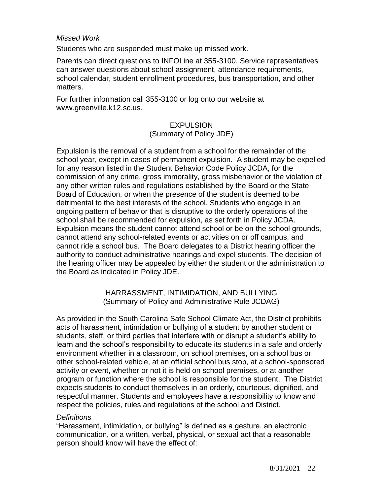## *Missed Work*

Students who are suspended must make up missed work.

Parents can direct questions to INFOLine at 355-3100. Service representatives can answer questions about school assignment, attendance requirements, school calendar, student enrollment procedures, bus transportation, and other matters.

For further information call 355-3100 or log onto our website at [www.greenville.k12.sc.us.](http://www.greenville.k12.sc.us/)

#### **EXPULSION** (Summary of Policy JDE)

Expulsion is the removal of a student from a school for the remainder of the school year, except in cases of permanent expulsion. A student may be expelled for any reason listed in the Student Behavior Code Policy JCDA, for the commission of any crime, gross immorality, gross misbehavior or the violation of any other written rules and regulations established by the Board or the State Board of Education, or when the presence of the student is deemed to be detrimental to the best interests of the school. Students who engage in an ongoing pattern of behavior that is disruptive to the orderly operations of the school shall be recommended for expulsion, as set forth in Policy JCDA. Expulsion means the student cannot attend school or be on the school grounds, cannot attend any school-related events or activities on or off campus, and cannot ride a school bus. The Board delegates to a District hearing officer the authority to conduct administrative hearings and expel students. The decision of the hearing officer may be appealed by either the student or the administration to the Board as indicated in Policy JDE.

## HARRASSMENT, INTIMIDATION, AND BULLYING (Summary of Policy and Administrative Rule JCDAG)

As provided in the South Carolina Safe School Climate Act, the District prohibits acts of harassment, intimidation or bullying of a student by another student or students, staff, or third parties that interfere with or disrupt a student's ability to learn and the school's responsibility to educate its students in a safe and orderly environment whether in a classroom, on school premises, on a school bus or other school-related vehicle, at an official school bus stop, at a school-sponsored activity or event, whether or not it is held on school premises, or at another program or function where the school is responsible for the student. The District expects students to conduct themselves in an orderly, courteous, dignified, and respectful manner. Students and employees have a responsibility to know and respect the policies, rules and regulations of the school and District.

## *Definitions*

"Harassment, intimidation, or bullying" is defined as a gesture, an electronic communication, or a written, verbal, physical, or sexual act that a reasonable person should know will have the effect of: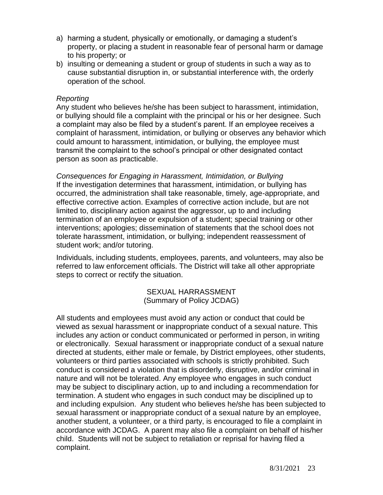- a) harming a student, physically or emotionally, or damaging a student's property, or placing a student in reasonable fear of personal harm or damage to his property; or
- b) insulting or demeaning a student or group of students in such a way as to cause substantial disruption in, or substantial interference with, the orderly operation of the school.

#### *Reporting*

Any student who believes he/she has been subject to harassment, intimidation, or bullying should file a complaint with the principal or his or her designee. Such a complaint may also be filed by a student's parent. If an employee receives a complaint of harassment, intimidation, or bullying or observes any behavior which could amount to harassment, intimidation, or bullying, the employee must transmit the complaint to the school's principal or other designated contact person as soon as practicable.

*Consequences for Engaging in Harassment, Intimidation, or Bullying* If the investigation determines that harassment, intimidation, or bullying has occurred, the administration shall take reasonable, timely, age-appropriate, and effective corrective action. Examples of corrective action include, but are not limited to, disciplinary action against the aggressor, up to and including termination of an employee or expulsion of a student; special training or other interventions; apologies; dissemination of statements that the school does not tolerate harassment, intimidation, or bullying; independent reassessment of student work; and/or tutoring.

Individuals, including students, employees, parents, and volunteers, may also be referred to law enforcement officials. The District will take all other appropriate steps to correct or rectify the situation.

> SEXUAL HARRASSMENT (Summary of Policy JCDAG)

All students and employees must avoid any action or conduct that could be viewed as sexual harassment or inappropriate conduct of a sexual nature. This includes any action or conduct communicated or performed in person, in writing or electronically. Sexual harassment or inappropriate conduct of a sexual nature directed at students, either male or female, by District employees, other students, volunteers or third parties associated with schools is strictly prohibited. Such conduct is considered a violation that is disorderly, disruptive, and/or criminal in nature and will not be tolerated. Any employee who engages in such conduct may be subject to disciplinary action, up to and including a recommendation for termination. A student who engages in such conduct may be disciplined up to and including expulsion. Any student who believes he/she has been subjected to sexual harassment or inappropriate conduct of a sexual nature by an employee, another student, a volunteer, or a third party, is encouraged to file a complaint in accordance with JCDAG. A parent may also file a complaint on behalf of his/her child. Students will not be subject to retaliation or reprisal for having filed a complaint.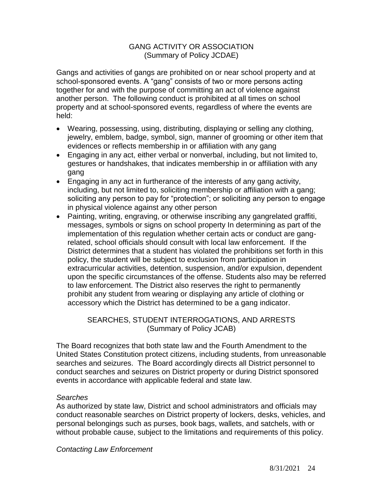## GANG ACTIVITY OR ASSOCIATION (Summary of Policy JCDAE)

Gangs and activities of gangs are prohibited on or near school property and at school-sponsored events. A "gang" consists of two or more persons acting together for and with the purpose of committing an act of violence against another person. The following conduct is prohibited at all times on school property and at school-sponsored events, regardless of where the events are held:

- Wearing, possessing, using, distributing, displaying or selling any clothing, jewelry, emblem, badge, symbol, sign, manner of grooming or other item that evidences or reflects membership in or affiliation with any gang
- Engaging in any act, either verbal or nonverbal, including, but not limited to, gestures or handshakes, that indicates membership in or affiliation with any gang
- Engaging in any act in furtherance of the interests of any gang activity, including, but not limited to, soliciting membership or affiliation with a gang; soliciting any person to pay for "protection"; or soliciting any person to engage in physical violence against any other person
- Painting, writing, engraving, or otherwise inscribing any gangrelated graffiti, messages, symbols or signs on school property In determining as part of the implementation of this regulation whether certain acts or conduct are gangrelated, school officials should consult with local law enforcement. If the District determines that a student has violated the prohibitions set forth in this policy, the student will be subject to exclusion from participation in extracurricular activities, detention, suspension, and/or expulsion, dependent upon the specific circumstances of the offense. Students also may be referred to law enforcement. The District also reserves the right to permanently prohibit any student from wearing or displaying any article of clothing or accessory which the District has determined to be a gang indicator.

## SEARCHES, STUDENT INTERROGATIONS, AND ARRESTS (Summary of Policy JCAB)

The Board recognizes that both state law and the Fourth Amendment to the United States Constitution protect citizens, including students, from unreasonable searches and seizures. The Board accordingly directs all District personnel to conduct searches and seizures on District property or during District sponsored events in accordance with applicable federal and state law.

## *Searches*

As authorized by state law, District and school administrators and officials may conduct reasonable searches on District property of lockers, desks, vehicles, and personal belongings such as purses, book bags, wallets, and satchels, with or without probable cause, subject to the limitations and requirements of this policy.

*Contacting Law Enforcement*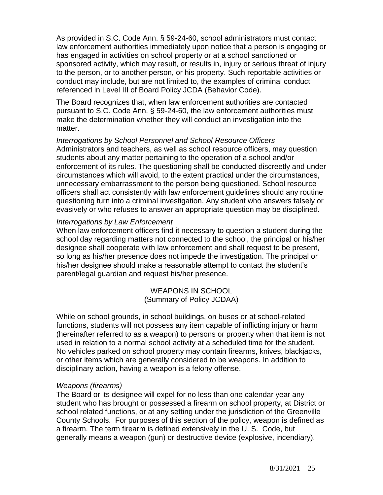As provided in S.C. Code Ann. § 59-24-60, school administrators must contact law enforcement authorities immediately upon notice that a person is engaging or has engaged in activities on school property or at a school sanctioned or sponsored activity, which may result, or results in, injury or serious threat of injury to the person, or to another person, or his property. Such reportable activities or conduct may include, but are not limited to, the examples of criminal conduct referenced in Level III of Board Policy JCDA (Behavior Code).

The Board recognizes that, when law enforcement authorities are contacted pursuant to S.C. Code Ann. § 59-24-60, the law enforcement authorities must make the determination whether they will conduct an investigation into the matter.

*Interrogations by School Personnel and School Resource Officers* Administrators and teachers, as well as school resource officers, may question students about any matter pertaining to the operation of a school and/or enforcement of its rules. The questioning shall be conducted discreetly and under circumstances which will avoid, to the extent practical under the circumstances, unnecessary embarrassment to the person being questioned. School resource officers shall act consistently with law enforcement guidelines should any routine questioning turn into a criminal investigation. Any student who answers falsely or evasively or who refuses to answer an appropriate question may be disciplined.

#### *Interrogations by Law Enforcement*

When law enforcement officers find it necessary to question a student during the school day regarding matters not connected to the school, the principal or his/her designee shall cooperate with law enforcement and shall request to be present, so long as his/her presence does not impede the investigation. The principal or his/her designee should make a reasonable attempt to contact the student's parent/legal guardian and request his/her presence.

> WEAPONS IN SCHOOL (Summary of Policy JCDAA)

While on school grounds, in school buildings, on buses or at school-related functions, students will not possess any item capable of inflicting injury or harm (hereinafter referred to as a weapon) to persons or property when that item is not used in relation to a normal school activity at a scheduled time for the student. No vehicles parked on school property may contain firearms, knives, blackjacks, or other items which are generally considered to be weapons. In addition to disciplinary action, having a weapon is a felony offense.

## *Weapons (firearms)*

The Board or its designee will expel for no less than one calendar year any student who has brought or possessed a firearm on school property, at District or school related functions, or at any setting under the jurisdiction of the Greenville County Schools. For purposes of this section of the policy, weapon is defined as a firearm. The term firearm is defined extensively in the U. S. Code, but generally means a weapon (gun) or destructive device (explosive, incendiary).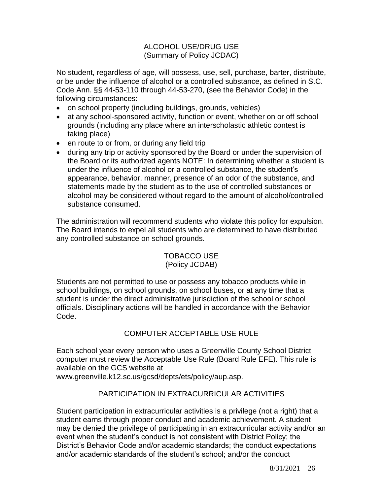## ALCOHOL USE/DRUG USE (Summary of Policy JCDAC)

No student, regardless of age, will possess, use, sell, purchase, barter, distribute, or be under the influence of alcohol or a controlled substance, as defined in S.C. Code Ann. §§ 44-53-110 through 44-53-270, (see the Behavior Code) in the following circumstances:

- on school property (including buildings, grounds, vehicles)
- at any school-sponsored activity, function or event, whether on or off school grounds (including any place where an interscholastic athletic contest is taking place)
- en route to or from, or during any field trip
- during any trip or activity sponsored by the Board or under the supervision of the Board or its authorized agents NOTE: In determining whether a student is under the influence of alcohol or a controlled substance, the student's appearance, behavior, manner, presence of an odor of the substance, and statements made by the student as to the use of controlled substances or alcohol may be considered without regard to the amount of alcohol/controlled substance consumed.

The administration will recommend students who violate this policy for expulsion. The Board intends to expel all students who are determined to have distributed any controlled substance on school grounds.

## TOBACCO USE (Policy JCDAB)

Students are not permitted to use or possess any tobacco products while in school buildings, on school grounds, on school buses, or at any time that a student is under the direct administrative jurisdiction of the school or school officials. Disciplinary actions will be handled in accordance with the Behavior Code.

## COMPUTER ACCEPTABLE USE RULE

Each school year every person who uses a Greenville County School District computer must review the Acceptable Use Rule (Board Rule EFE). This rule is available on the GCS website at

[www.greenville.k12.sc.us/gcsd/depts/ets/policy/aup.asp.](http://www.greenville.k12.sc.us/gcsd/depts/ets/policy/aup.asp)

## PARTICIPATION IN EXTRACURRICULAR ACTIVITIES

Student participation in extracurricular activities is a privilege (not a right) that a student earns through proper conduct and academic achievement. A student may be denied the privilege of participating in an extracurricular activity and/or an event when the student's conduct is not consistent with District Policy; the District's Behavior Code and/or academic standards; the conduct expectations and/or academic standards of the student's school; and/or the conduct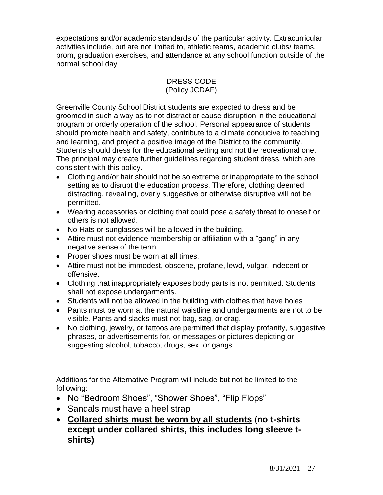expectations and/or academic standards of the particular activity. Extracurricular activities include, but are not limited to, athletic teams, academic clubs/ teams, prom, graduation exercises, and attendance at any school function outside of the normal school day

#### DRESS CODE (Policy JCDAF)

Greenville County School District students are expected to dress and be groomed in such a way as to not distract or cause disruption in the educational program or orderly operation of the school. Personal appearance of students should promote health and safety, contribute to a climate conducive to teaching and learning, and project a positive image of the District to the community. Students should dress for the educational setting and not the recreational one. The principal may create further guidelines regarding student dress, which are consistent with this policy.

- Clothing and/or hair should not be so extreme or inappropriate to the school setting as to disrupt the education process. Therefore, clothing deemed distracting, revealing, overly suggestive or otherwise disruptive will not be permitted.
- Wearing accessories or clothing that could pose a safety threat to oneself or others is not allowed.
- No Hats or sunglasses will be allowed in the building.
- Attire must not evidence membership or affiliation with a "gang" in any negative sense of the term.
- Proper shoes must be worn at all times.
- Attire must not be immodest, obscene, profane, lewd, vulgar, indecent or offensive.
- Clothing that inappropriately exposes body parts is not permitted. Students shall not expose undergarments.
- Students will not be allowed in the building with clothes that have holes
- Pants must be worn at the natural waistline and undergarments are not to be visible. Pants and slacks must not bag, sag, or drag.
- No clothing, jewelry, or tattoos are permitted that display profanity, suggestive phrases, or advertisements for, or messages or pictures depicting or suggesting alcohol, tobacco, drugs, sex, or gangs.

Additions for the Alternative Program will include but not be limited to the following:

- No "Bedroom Shoes", "Shower Shoes", "Flip Flops"
- Sandals must have a heel strap
- **Collared shirts must be worn by all students** (**no t-shirts except under collared shirts, this includes long sleeve tshirts)**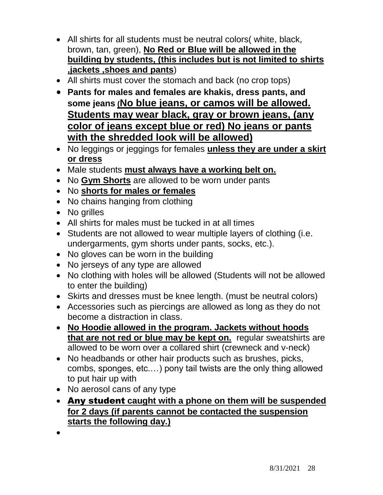- All shirts for all students must be neutral colors( white, black, brown, tan, green), **No Red or Blue will be allowed in the building by students, (this includes but is not limited to shirts ,jackets ,shoes and pants**)
- All shirts must cover the stomach and back (no crop tops)
- **Pants for males and females are khakis, dress pants, and some jeans (No blue jeans, or camos will be allowed. Students may wear black, gray or brown jeans, (any color of jeans except blue or red) No jeans or pants with the shredded look will be allowed)**
- No leggings or jeggings for females **unless they are under a skirt or dress**
- Male students **must always have a working belt on.**
- No **Gym Shorts** are allowed to be worn under pants
- No **shorts for males or females**
- No chains hanging from clothing
- No grilles
- All shirts for males must be tucked in at all times
- Students are not allowed to wear multiple layers of clothing (i.e. undergarments, gym shorts under pants, socks, etc.).
- No gloves can be worn in the building
- No jerseys of any type are allowed
- No clothing with holes will be allowed (Students will not be allowed to enter the building)
- Skirts and dresses must be knee length. (must be neutral colors)
- Accessories such as piercings are allowed as long as they do not become a distraction in class.
- **No Hoodie allowed in the program. Jackets without hoods that are not red or blue may be kept on.** regular sweatshirts are allowed to be worn over a collared shirt (crewneck and v-neck)
- No headbands or other hair products such as brushes, picks, combs, sponges, etc.…) pony tail twists are the only thing allowed to put hair up with
- No aerosol cans of any type
- Any student **caught with a phone on them will be suspended for 2 days (if parents cannot be contacted the suspension starts the following day.)**
- $\bullet$